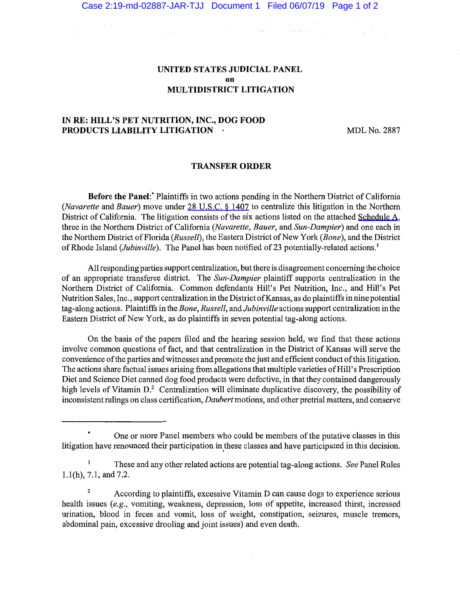## UNITED STATES JUDICIAL PANEL on MULTIDISTRICT LITIGATION

# IN RE: HILL'S PET NUTRITION, INC., DOG FOOD PRODUCTS LIABILITY LITIGATION +

 $\sim$   $\sim$ 

MDL No. 2887

#### TRANSFER ORDER

Before the Panel:\* Plaintiffs in two actions pending in the Northern District of California *(Navarette* and *Bauer)* move under [28 U.S.C. § 1407](https://www.westlaw.com/Link/Document/FullText?rs=USCLink&vr=3.0&findType=Y&cite=28%2B%2Bu%2Es%2Ec%2E%2B%2B%2B%2B1407&clientid=USCourts) to centralize this litigation in the Northern District of California. The litigation consists of the six actions listed on the attached [Schedule A](https://jenie.ao.dcn/ksd-ecf/d/cmecfservices/rest/file/finddoc?caseYear=2019&caseNum=02887&caseType=md&caseOffice=2&docNum=1&docSeq=1), three in the Northern District of California *(Navarette, Bauer,* and *Sun-Dampier)* and one each in the Northern District of Florida *(Russell),* the Eastern District of New York *(Bone),* and the District of Rhode Island *(Jubinville).* The Panel has been notified of 23 potentially-related actions. <sup>1</sup>

All responding parties support centralization, but there is disagreement concerning the choice of an appropriate transferee district. The *Sun-Dampier* plaintiff supports centralization in the Northern District of California. Common defendants Hill's Pet Nutrition, Inc., and Hill's Pet Nutrition Sales, Inc., support centralization in the District of Kansas, as do plaintiffs in nine potential tag-along actions. Plaintiffs in the *Bone, Russell,* and *Jubinville* actions support centralization in the Eastern District of New York, as do plaintiffs in seven potential tag-along actions.

On the basis of the papers filed and the hearing session held, we find that these actions involve common questions of fact, and that centralization in the District of Kansas will serve the convenience of the parties and witnesses and promote the just and efficient conduct of this litigation. The actions share factual issues arising from allegations that multiple varieties of Hill's Prescription Diet and Science Diet canned dog food products were defective, in that they contained dangerously high levels of Vitamin D.<sup>2</sup> Centralization will eliminate duplicative discovery, the possibility of inconsistent rulings on class certification, *Daubert* motions, and other pretrial matters, and conserve

One or more Panel members who could be members of the putative classes in this litigation have renounced their participation in these classes and have participated in this decision.

 $\mathbf{1}$ These and any other related actions are potential tag-along actions. *See* Panel Rules l.l(h), 7.1, and 7.2.

<sup>&</sup>lt;sup>2</sup> According to plaintiffs, excessive Vitamin D can cause dogs to experience serious health issues *(e.g.,* vomiting, weakness, depression, loss of appetite, increased thirst, increased urination, blood in feces and vomit, loss of weight, constipation, seizures, muscle tremors, abdominal pain, excessive drooling and joint issues) and even death.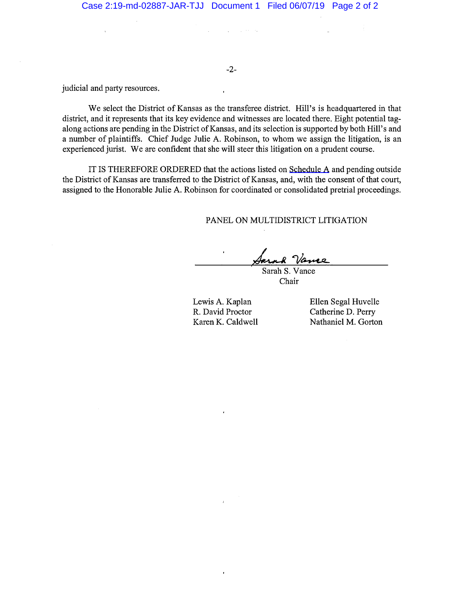$\mathcal{L}_{\mathrm{eff}}$  , where  $\mathcal{L}_{\mathrm{eff}}$ 

-2-

judicial and party resources.

We select the District of Kansas as the transferee district. Hill's is headquartered in that district, and it represents that its key evidence and witnesses are located there. Eight potential tagalong actions are pending in the District of Kansas, and its selection is supported by both Hill's and a number of plaintiffs. Chief Judge Julie A. Robinson, to whom we assign the litigation, is an experienced jurist. We are confident that she will steer this litigation on a prudent course.

IT IS THEREFORE ORDERED that the actions listed on Schedule  $A$  and pending outside the District of Kansas are transferred to the District of Kansas, and, with the consent of that court, assigned to the Honorable Julie A. Robinson for coordinated or consolidated pretrial proceedings.

PANEL ON MULTIDISTRICT LITIGATION

Sarah S. Vance

Chair

Lewis A. Kaplan R. David Proctor Karen K. Caldwell Ellen Segal Huvelle Catherine D. Perry Nathaniel M. Gorton